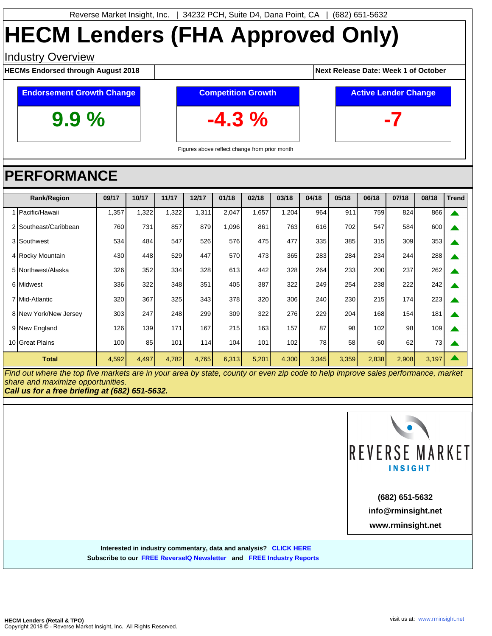# **HECM Lenders (FHA Approved Only)**

### **Industry Overview**

**HECMs Endorsed through August 2018 August 2018 Next Release Date: Week 1 of October** 

### **Endorsement Growth Change**

**9.9 %**

**Competition Growth -4.3 %**



Figures above reflect change from prior month

## **PERFORMANCE**

| <b>Rank/Region</b> |                       | 09/17 | 10/17 | 11/17 | 12/17 | 01/18 | 02/18 | 03/18 | 04/18 | 05/18 | 06/18 | 07/18 | 08/18 | <b>Trend</b> |
|--------------------|-----------------------|-------|-------|-------|-------|-------|-------|-------|-------|-------|-------|-------|-------|--------------|
|                    | Pacific/Hawaii        | ,357  | 1,322 | 1,322 | 1,311 | 2,047 | 1,657 | 1,204 | 964   | 911   | 759   | 824   | 866   |              |
|                    | 2 Southeast/Caribbean | 760   | 731   | 857   | 879   | 1,096 | 861   | 763   | 616   | 702   | 547   | 584   | 600   |              |
|                    | 3 Southwest           | 534   | 484   | 547   | 526   | 576   | 475   | 477   | 335   | 385   | 315   | 309   | 353   |              |
|                    | 4 Rocky Mountain      | 430   | 448   | 529   | 447   | 570   | 473   | 365   | 283   | 284   | 234   | 244   | 288   |              |
|                    | 5 Northwest/Alaska    | 326   | 352   | 334   | 328   | 613   | 442   | 328   | 264   | 233   | 200   | 237   | 262   |              |
|                    | 6 Midwest             | 336   | 322   | 348   | 351   | 405   | 387   | 322   | 249   | 254   | 238   | 222   | 242   |              |
|                    | 7 Mid-Atlantic        | 320   | 367   | 325   | 343   | 378   | 320   | 306   | 240   | 230   | 215   | 174   | 223   |              |
|                    | 8 New York/New Jersey | 303   | 247   | 248   | 299   | 309   | 322   | 276   | 229   | 204   | 168   | 154   | 181   |              |
|                    | 9 New England         | 126   | 139   | 171   | 167   | 215   | 163   | 157   | 87    | 98    | 102   | 98    | 109   |              |
|                    | 10 Great Plains       | 100   | 85    | 101   | 114   | 104   | 101   | 102   | 78    | 58    | 60    | 62    | 73    |              |
|                    | <b>Total</b>          | 4,592 | 4,497 | 4,782 | 4,765 | 6,313 | 5,201 | 4,300 | 3,345 | 3,359 | 2,838 | 2,908 | 3,197 |              |

Find out where the top five markets are in your area by state, county or even zip code to help improve sales performance, market share and maximize opportunities.

**Call us for a free briefing at (682) 651-5632.**



**www.rminsight.net info@rminsight.net (682) 651-5632**

**Interested in industry commentary, data and analysis? [CLICK HERE](http://www.rminsight.net/signup.php) Subscribe to ou[r FREE ReverseIQ Newsletter](http://www.rminsight.net/signup.php) and [FREE Industry Reports](http://www.rminsight.net/signup.php)**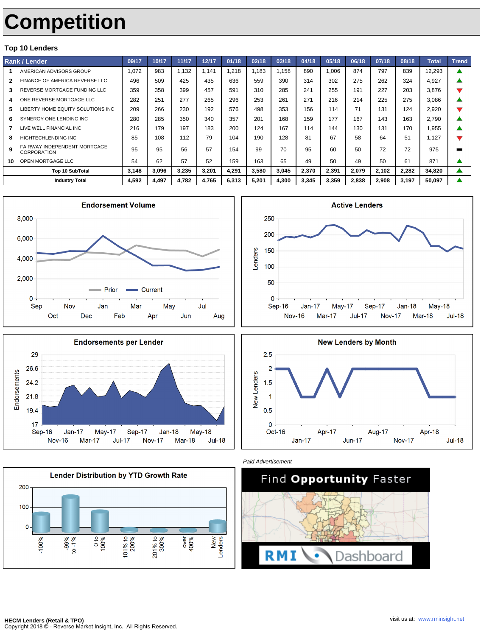## **Competition**

#### **Top 10 Lenders**

| <b>Rank / Lender</b> |                                                           | 09/17 | 10/17 | 11/17 | 12/17 | 01/18 | 02/18 | 03/18 | 04/18 | 05/18 | 06/18 | 07/18 | 08/18 | <b>Total</b> | <b>Trend</b> |
|----------------------|-----------------------------------------------------------|-------|-------|-------|-------|-------|-------|-------|-------|-------|-------|-------|-------|--------------|--------------|
|                      | AMERICAN ADVISORS GROUP                                   | 1.072 | 983   | 1.132 | 1.141 | .218  | 1.183 | 1.158 | 890   | 1.006 | 874   | 797   | 839   | 12,293       |              |
|                      | FINANCE OF AMERICA REVERSE LLC                            | 496   | 509   | 425   | 435   | 636   | 559   | 390   | 314   | 302   | 275   | 262   | 324   | 4.927        |              |
| 3                    | REVERSE MORTGAGE FUNDING LLC                              | 359   | 358   | 399   | 457   | 591   | 310   | 285   | 241   | 255   | 191   | 227   | 203   | 3.876        |              |
|                      | ONE REVERSE MORTGAGE LLC                                  | 282   | 251   | 277   | 265   | 296   | 253   | 261   | 271   | 216   | 214   | 225   | 275   | 3,086        |              |
| 5                    | LIBERTY HOME EQUITY SOLUTIONS INC                         | 209   | 266   | 230   | 192   | 576   | 498   | 353   | 156   | 114   | 71    | 131   | 124   | 2.920        |              |
| 6                    | SYNERGY ONE LENDING INC                                   | 280   | 285   | 350   | 340   | 357   | 201   | 168   | 159   | 177   | 167   | 143   | 163   | 2.790        |              |
|                      | LIVE WELL FINANCIAL INC                                   | 216   | 179   | 197   | 183   | 200   | 124   | 167   | 114   | 144   | 130   | 131   | 170   | <b>.955</b>  |              |
| я                    | <b>HIGHTECHLENDING INC</b>                                | 85    | 108   | 112   | 79    | 104   | 190   | 128   | 81    | 67    | 58    | 64    | 51    | 1.127        |              |
| 9                    | <b>FAIRWAY INDEPENDENT MORTGAGE</b><br><b>CORPORATION</b> | 95    | 95    | 56    | 57    | 154   | 99    | 70    | 95    | 60    | 50    | 72    | 72    | 975          |              |
| 10                   | OPEN MORTGAGE LLC                                         | 54    | 62    | 57    | 52    | 159   | 163   | 65    | 49    | 50    | 49    | 50    | 61    | 871          |              |
|                      | Top 10 SubTotal                                           | 3.148 | 3,096 | 3,235 | 3,201 | 4,291 | 3,580 | 3,045 | 2,370 | 2,391 | 2,079 | 2.102 | 2,282 | 34,820       |              |
|                      | <b>Industry Total</b>                                     | 4.592 | 4,497 | 4,782 | 4,765 | 6,313 | 5,201 | 4.300 | 3.345 | 3,359 | 2,838 | 2,908 | 3,197 | 50,097       |              |













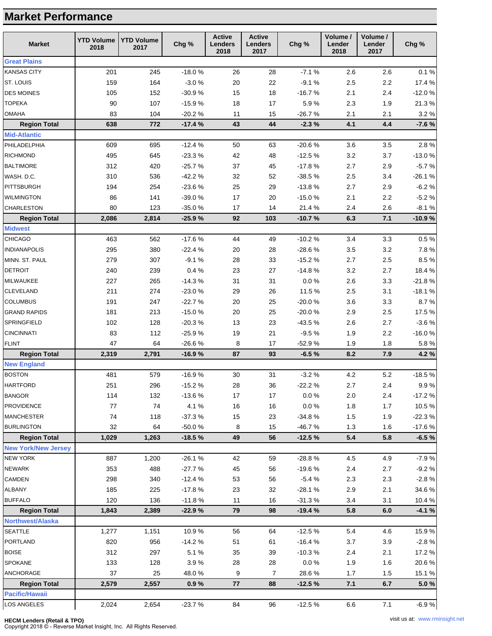## **Market Performance**

| <b>Market</b>              | <b>YTD Volume</b><br>2018 | <b>YTD Volume</b><br>2017 | Chg %    | <b>Active</b><br><b>Lenders</b><br>2018 | <b>Active</b><br><b>Lenders</b><br>2017 | Chg %     | Volume /<br>Lender<br>2018 | Volume /<br>Lender<br>2017 | Chg %    |
|----------------------------|---------------------------|---------------------------|----------|-----------------------------------------|-----------------------------------------|-----------|----------------------------|----------------------------|----------|
| <b>Great Plains</b>        |                           |                           |          |                                         |                                         |           |                            |                            |          |
| <b>KANSAS CITY</b>         | 201                       | 245                       | $-18.0%$ | 26                                      | 28                                      | $-7.1%$   | 2.6                        | 2.6                        | 0.1%     |
| ST. LOUIS                  | 159                       | 164                       | $-3.0%$  | 20                                      | 22                                      | $-9.1%$   | 2.5                        | 2.2                        | 17.4 %   |
| <b>DES MOINES</b>          | 105                       | 152                       | $-30.9%$ | 15                                      | 18                                      | $-16.7%$  | 2.1                        | 2.4                        | $-12.0%$ |
| <b>TOPEKA</b>              | 90                        | 107                       | $-15.9%$ | 18                                      | 17                                      | 5.9%      | 2.3                        | 1.9                        | 21.3%    |
| <b>OMAHA</b>               | 83                        | 104                       | $-20.2%$ | 11                                      | 15                                      | $-26.7%$  | 2.1                        | 2.1                        | 3.2%     |
| <b>Region Total</b>        | 638                       | 772                       | $-17.4%$ | 43                                      | 44                                      | $-2.3%$   | 4.1                        | 4.4                        | $-7.6%$  |
| <b>Mid-Atlantic</b>        |                           |                           |          |                                         |                                         |           |                            |                            |          |
| PHILADELPHIA               | 609                       | 695                       | $-12.4%$ | 50                                      | 63                                      | $-20.6%$  | 3.6                        | 3.5                        | 2.8%     |
| <b>RICHMOND</b>            | 495                       | 645                       | $-23.3%$ | 42                                      | 48                                      | $-12.5%$  | 3.2                        | 3.7                        | $-13.0%$ |
| <b>BALTIMORE</b>           | 312                       | 420                       | $-25.7%$ | 37                                      | 45                                      | $-17.8%$  | 2.7                        | 2.9                        | $-5.7%$  |
| WASH. D.C.                 | 310                       | 536                       | $-42.2%$ | 32                                      | 52                                      | $-38.5%$  | $2.5\,$                    | 3.4                        | $-26.1%$ |
| PITTSBURGH                 | 194                       | 254                       | $-23.6%$ | 25                                      | 29                                      | $-13.8%$  | 2.7                        | 2.9                        | $-6.2%$  |
| <b>WILMINGTON</b>          | 86                        | 141                       | $-39.0%$ | 17                                      | 20                                      | $-15.0%$  | 2.1                        | 2.2                        | $-5.2%$  |
| <b>CHARLESTON</b>          | 80                        | 123                       | $-35.0%$ | 17                                      | 14                                      | 21.4%     | 2.4                        | 2.6                        | $-8.1%$  |
| <b>Region Total</b>        | 2,086                     | 2,814                     | $-25.9%$ | 92                                      | 103                                     | $-10.7%$  | 6.3                        | 7.1                        | $-10.9%$ |
| <b>Midwest</b>             |                           |                           |          |                                         |                                         |           |                            |                            |          |
| <b>CHICAGO</b>             | 463                       | 562                       | $-17.6%$ | 44                                      | 49                                      | $-10.2%$  | 3.4                        | 3.3                        | 0.5%     |
| <b>INDIANAPOLIS</b>        | 295                       | 380                       | $-22.4%$ | 20                                      | 28                                      | $-28.6%$  | 3.5                        | 3.2                        | 7.8%     |
| MINN. ST. PAUL             | 279                       | 307                       | $-9.1%$  | 28                                      | 33                                      | $-15.2%$  | 2.7                        | 2.5                        | 8.5%     |
| <b>DETROIT</b>             | 240                       | 239                       | 0.4%     | 23                                      | 27                                      | $-14.8%$  | 3.2                        | 2.7                        | 18.4%    |
| MILWAUKEE                  | 227                       | 265                       | $-14.3%$ | 31                                      | 31                                      | $0.0 \%$  | 2.6                        | 3.3                        | $-21.8%$ |
| CLEVELAND                  | 211                       | 274                       | $-23.0%$ | 29                                      | 26                                      | 11.5 %    | $2.5\,$                    | 3.1                        | $-18.1%$ |
| <b>COLUMBUS</b>            | 191                       | 247                       | $-22.7%$ | 20                                      | 25                                      | $-20.0%$  | 3.6                        | 3.3                        | 8.7%     |
| <b>GRAND RAPIDS</b>        | 181                       | 213                       | $-15.0%$ | 20                                      | 25                                      | $-20.0%$  | 2.9                        | 2.5                        | 17.5%    |
| SPRINGFIELD                | 102                       | 128                       | $-20.3%$ | 13                                      | 23                                      | $-43.5%$  | 2.6                        | 2.7                        | $-3.6%$  |
| <b>CINCINNATI</b>          | 83                        | 112                       | $-25.9%$ | 19                                      | 21                                      | $-9.5%$   | 1.9                        | 2.2                        | $-16.0%$ |
| <b>FLINT</b>               | 47                        | 64                        | $-26.6%$ | 8                                       | 17                                      | $-52.9%$  | 1.9                        | 1.8                        | 5.8%     |
| <b>Region Total</b>        | 2,319                     | 2,791                     | $-16.9%$ | 87                                      | 93                                      | $-6.5%$   | 8.2                        | 7.9                        | 4.2%     |
| <b>New England</b>         |                           |                           |          |                                         |                                         |           |                            |                            |          |
| <b>BOSTON</b>              | 481                       | 579                       | $-16.9%$ | 30                                      | 31                                      | $-3.2%$   | 4.2                        | 5.2                        | $-18.5%$ |
| <b>HARTFORD</b>            | 251                       | 296                       | $-15.2%$ | 28                                      | 36                                      | $-22.2%$  | 2.7                        | 2.4                        | 9.9%     |
| <b>BANGOR</b>              | 114                       | 132                       | $-13.6%$ | 17                                      | 17                                      | $0.0\ \%$ | $2.0\,$                    | 2.4                        | $-17.2%$ |
| <b>PROVIDENCE</b>          | 77                        | 74                        | 4.1 %    | 16                                      | 16                                      | $0.0\ \%$ | 1.8                        | 1.7                        | 10.5%    |
| <b>MANCHESTER</b>          | 74                        | 118                       | $-37.3%$ | 15                                      | 23                                      | $-34.8%$  | 1.5                        | 1.9                        | $-22.3%$ |
| <b>BURLINGTON</b>          | 32                        | 64                        | $-50.0%$ | 8                                       | 15                                      | $-46.7%$  | 1.3                        | 1.6                        | $-17.6%$ |
| <b>Region Total</b>        | 1,029                     | 1,263                     | $-18.5%$ | 49                                      | 56                                      | $-12.5%$  | 5.4                        | 5.8                        | $-6.5%$  |
| <b>New York/New Jersey</b> |                           |                           |          |                                         |                                         |           |                            |                            |          |
| <b>NEW YORK</b>            | 887                       | 1,200                     | $-26.1%$ | 42                                      | 59                                      | $-28.8%$  | 4.5                        | 4.9                        | $-7.9%$  |
| <b>NEWARK</b>              | 353                       | 488                       | $-27.7%$ | 45                                      | 56                                      | $-19.6%$  | 2.4                        | 2.7                        | $-9.2%$  |
| CAMDEN                     | 298                       | 340                       | $-12.4%$ | 53                                      | 56                                      | $-5.4%$   | 2.3                        | 2.3                        | $-2.8%$  |
| <b>ALBANY</b>              | 185                       | 225                       | $-17.8%$ | 23                                      | 32                                      | $-28.1%$  | 2.9                        | 2.1                        | 34.6%    |
| <b>BUFFALO</b>             | 120                       | 136                       | $-11.8%$ | 11                                      | 16                                      | $-31.3%$  | 3.4                        | 3.1                        | 10.4%    |
| <b>Region Total</b>        | 1,843                     | 2,389                     | $-22.9%$ | 79                                      | 98                                      | $-19.4%$  | 5.8                        | 6.0                        | $-4.1%$  |
| <b>Northwest/Alaska</b>    |                           |                           |          |                                         |                                         |           |                            |                            |          |
| <b>SEATTLE</b>             | 1,277                     | 1,151                     | 10.9%    | 56                                      | 64                                      | $-12.5%$  | 5.4                        | 4.6                        | 15.9%    |
| PORTLAND                   | 820                       | 956                       | $-14.2%$ | 51                                      | 61                                      | $-16.4%$  | 3.7                        | 3.9                        | $-2.8%$  |
| <b>BOISE</b>               | 312                       | 297                       | 5.1%     | 35                                      | 39                                      | $-10.3%$  | 2.4                        | 2.1                        | 17.2 %   |
| SPOKANE                    | 133                       | 128                       | 3.9%     | 28                                      | 28                                      | $0.0\,\%$ | 1.9                        | 1.6                        | 20.6%    |
| ANCHORAGE                  | 37                        | 25                        | 48.0%    | 9                                       | $\overline{7}$                          | 28.6%     | 1.7                        | $1.5$                      | 15.1%    |
| <b>Region Total</b>        | 2,579                     | 2,557                     | 0.9%     | 77                                      | 88                                      | $-12.5%$  | 7.1                        | 6.7                        | 5.0%     |
| <b>Pacific/Hawaii</b>      |                           |                           |          |                                         |                                         |           |                            |                            |          |
| LOS ANGELES                | 2,024                     | 2,654                     | $-23.7%$ | 84                                      | 96                                      | $-12.5%$  | 6.6                        | 7.1                        | $-6.9%$  |

#### **HECM Lenders (Retail & TPO)**

Copyright 2018 © - Reverse Market Insight, Inc. All Rights Reserved.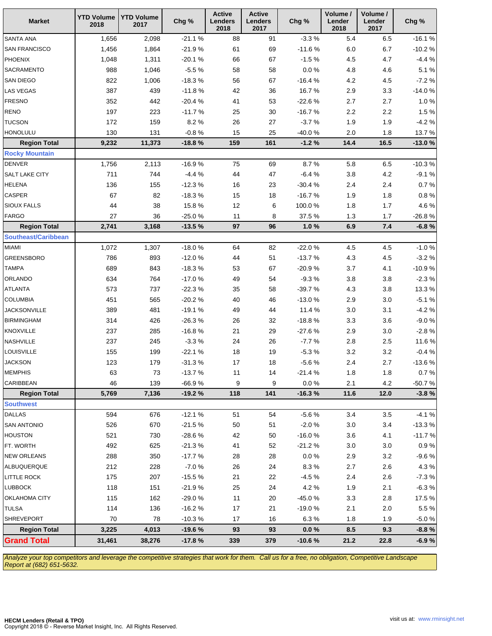| <b>Market</b>              | <b>YTD Volume</b><br>2018 | <b>YTD Volume</b><br>2017 | Chg %     | <b>Active</b><br>Lenders<br>2018 | <b>Active</b><br><b>Lenders</b><br>2017 | Chg %    | Volume /<br>Lender<br>2018 | Volume /<br>Lender<br>2017 | Chg %      |
|----------------------------|---------------------------|---------------------------|-----------|----------------------------------|-----------------------------------------|----------|----------------------------|----------------------------|------------|
| <b>SANTA ANA</b>           | 1,656                     | 2,098                     | $-21.1%$  | 88                               | 91                                      | $-3.3%$  | 5.4                        | 6.5                        | $-16.1%$   |
| <b>SAN FRANCISCO</b>       | 1,456                     | 1,864                     | $-21.9%$  | 61                               | 69                                      | $-11.6%$ | $6.0\,$                    | 6.7                        | $-10.2%$   |
| PHOENIX                    | 1,048                     | 1,311                     | $-20.1%$  | 66                               | 67                                      | $-1.5%$  | $4.5\,$                    | 4.7                        | $-4.4%$    |
| SACRAMENTO                 | 988                       | 1,046                     | $-5.5%$   | 58                               | 58                                      | $0.0 \%$ | 4.8                        | 4.6                        | 5.1%       |
| SAN DIEGO                  | 822                       | 1,006                     | $-18.3%$  | 56                               | 67                                      | $-16.4%$ | $4.2\,$                    | 4.5                        | $-7.2%$    |
| LAS VEGAS                  | 387                       | 439                       | $-11.8%$  | 42                               | 36                                      | 16.7%    | $2.9\,$                    | 3.3                        | $-14.0%$   |
| <b>FRESNO</b>              | 352                       | 442                       | $-20.4%$  | 41                               | 53                                      | $-22.6%$ | 2.7                        | 2.7                        | 1.0%       |
| <b>RENO</b>                | 197                       | 223                       | $-11.7%$  | 25                               | 30                                      | $-16.7%$ | $2.2\,$                    | $2.2\,$                    | 1.5%       |
| <b>TUCSON</b>              | 172                       | 159                       | 8.2%      | 26                               | 27                                      | $-3.7%$  | 1.9                        | 1.9                        | $-4.2%$    |
| <b>HONOLULU</b>            | 130                       | 131                       | $-0.8 \%$ | 15                               | 25                                      | -40.0%   | $2.0\,$                    | 1.8                        | 13.7%      |
| <b>Region Total</b>        | 9,232                     | 11,373                    | $-18.8%$  | 159                              | 161                                     | $-1.2%$  | 14.4                       | 16.5                       | $-13.0%$   |
| <b>Rocky Mountain</b>      |                           |                           |           |                                  |                                         |          |                            |                            |            |
| <b>DENVER</b>              | 1,756                     | 2,113                     | $-16.9%$  | 75                               | 69                                      | 8.7%     | 5.8                        | 6.5                        | $-10.3%$   |
| SALT LAKE CITY             | 711                       | 744                       | $-4.4%$   | 44                               | 47                                      | $-6.4%$  | $3.8\,$                    | $4.2\,$                    | $-9.1%$    |
| <b>HELENA</b>              | 136                       | 155                       | $-12.3%$  | $16$                             | 23                                      | $-30.4%$ | 2.4                        | 2.4                        | 0.7%       |
| CASPER                     | 67                        | 82                        | $-18.3%$  | 15                               | 18                                      | $-16.7%$ | 1.9                        | 1.8                        | $0.8\ \%$  |
| SIOUX FALLS                | 44                        | 38                        | 15.8%     | 12                               | 6                                       | 100.0%   | 1.8                        | 1.7                        | 4.6%       |
| <b>FARGO</b>               | 27                        | 36                        | $-25.0%$  | 11                               | 8                                       | 37.5%    | $1.3$                      | 1.7                        | $-26.8%$   |
| <b>Region Total</b>        | 2,741                     | 3,168                     | $-13.5%$  | 97                               | 96                                      | 1.0%     | 6.9                        | 7.4                        | $-6.8%$    |
| <b>Southeast/Caribbean</b> |                           |                           |           |                                  |                                         |          |                            |                            |            |
| MIAMI                      | 1,072                     | 1,307                     | $-18.0%$  | 64                               | 82                                      | $-22.0%$ | $4.5\,$                    | 4.5                        | $-1.0%$    |
| <b>GREENSBORO</b>          | 786                       | 893                       | $-12.0%$  | 44                               | 51                                      | $-13.7%$ | 4.3                        | $4.5\,$                    | $-3.2%$    |
| <b>TAMPA</b>               | 689                       | 843                       | $-18.3%$  | 53                               | 67                                      | $-20.9%$ | $3.7\,$                    | 4.1                        | $-10.9%$   |
| ORLANDO                    | 634                       | 764                       | $-17.0%$  | 49                               | 54                                      | $-9.3%$  | $3.8\,$                    | $3.8\,$                    | $-2.3%$    |
| <b>ATLANTA</b>             | 573                       | 737                       | $-22.3%$  | 35                               | 58                                      | $-39.7%$ | 4.3                        | $3.8\,$                    | 13.3%      |
| <b>COLUMBIA</b>            | 451                       | 565                       | $-20.2%$  | 40                               | 46                                      | $-13.0%$ | 2.9                        | $3.0\,$                    | $-5.1%$    |
| <b>JACKSONVILLE</b>        | 389                       | 481                       | $-19.1%$  | 49                               | 44                                      | 11.4 %   | $3.0\,$                    | 3.1                        | $-4.2%$    |
| <b>BIRMINGHAM</b>          | 314                       | 426                       | $-26.3%$  | 26                               | 32                                      | $-18.8%$ | 3.3                        | 3.6                        | $-9.0%$    |
| KNOXVILLE                  | 237                       | 285                       | $-16.8%$  | 21                               | 29                                      | $-27.6%$ | 2.9                        | $3.0\,$                    | $-2.8%$    |
| NASHVILLE                  | 237                       | 245                       | $-3.3%$   | 24                               | 26                                      | $-7.7%$  | $2.8\,$                    | 2.5                        | 11.6%      |
| LOUISVILLE                 | 155                       | 199                       | $-22.1%$  | $18$                             | 19                                      | $-5.3%$  | $3.2\,$                    | $3.2\,$                    | $-0.4%$    |
| <b>JACKSON</b>             | 123                       | 179                       | $-31.3%$  | $17$                             | $18$                                    | $-5.6%$  | 2.4                        | 2.7                        | $-13.6%$   |
| <b>MEMPHIS</b>             | 63                        | 73                        | $-13.7%$  | 11                               | 14                                      | $-21.4%$ | 1.8                        | 1.8                        | 0.7 %      |
| CARIBBEAN                  | 46                        | 139                       | $-66.9%$  | 9                                | 9                                       | 0.0 %    | 2.1                        | 4.2                        | $-50.7%$   |
| <b>Region Total</b>        | 5,769                     | 7,136                     | $-19.2%$  | 118                              | 141                                     | $-16.3%$ | 11.6                       | 12.0                       | $-3.8%$    |
| <b>Southwest</b>           |                           |                           |           |                                  |                                         |          |                            |                            |            |
| <b>DALLAS</b>              | 594                       | 676                       | $-12.1%$  | 51                               | 54                                      | $-5.6%$  | 3.4                        | 3.5                        | $-4.1%$    |
| <b>SAN ANTONIO</b>         | 526                       | 670                       | $-21.5%$  | 50                               | 51                                      | $-2.0%$  | 3.0                        | 3.4                        | $-13.3%$   |
| <b>HOUSTON</b>             | 521                       | 730                       | $-28.6%$  | 42                               | 50                                      | $-16.0%$ | 3.6                        | 4.1                        | $-11.7%$   |
| FT. WORTH                  | 492                       | 625                       | $-21.3%$  | 41                               | 52                                      | $-21.2%$ | 3.0                        | 3.0                        | 0.9 %      |
| <b>NEW ORLEANS</b>         | 288                       | 350                       | $-17.7%$  | 28                               | 28                                      | 0.0 %    | 2.9                        | 3.2                        | $-9.6%$    |
| ALBUQUERQUE                | 212                       | 228                       | $-7.0%$   | 26                               | 24                                      | 8.3%     | 2.7                        | 2.6                        | 4.3%       |
| <b>LITTLE ROCK</b>         | 175                       | 207                       | $-15.5%$  | 21                               | 22                                      | $-4.5%$  | 2.4                        | 2.6                        | $-7.3%$    |
| <b>LUBBOCK</b>             | 118                       | 151                       | $-21.9%$  | 25                               | 24                                      | 4.2%     | 1.9                        | 2.1                        | $-6.3%$    |
| OKLAHOMA CITY              | 115                       | 162                       | $-29.0%$  | 11                               | 20                                      | $-45.0%$ | 3.3                        | $2.8\,$                    | 17.5%      |
| <b>TULSA</b>               | 114                       | 136                       | $-16.2%$  | 17                               | 21                                      | $-19.0%$ | 2.1                        | 2.0                        | 5.5%       |
| <b>SHREVEPORT</b>          | 70                        | 78                        | $-10.3%$  | 17                               | 16                                      | 6.3%     | 1.8                        | 1.9                        | $-5.0\ \%$ |
| <b>Region Total</b>        | 3,225                     | 4,013                     | $-19.6%$  | 93                               | 93                                      | 0.0 %    | 8.5                        | 9.3                        | $-8.8%$    |
| <b>Grand Total</b>         | 31,461                    | 38,276                    | $-17.8%$  | 339                              | 379                                     | $-10.6%$ | 21.2                       | 22.8                       | $-6.9%$    |

Analyze your top competitors and leverage the competitive strategies that work for them. Call us for a free, no obligation, Competitive Landscape Report at (682) 651-5632.